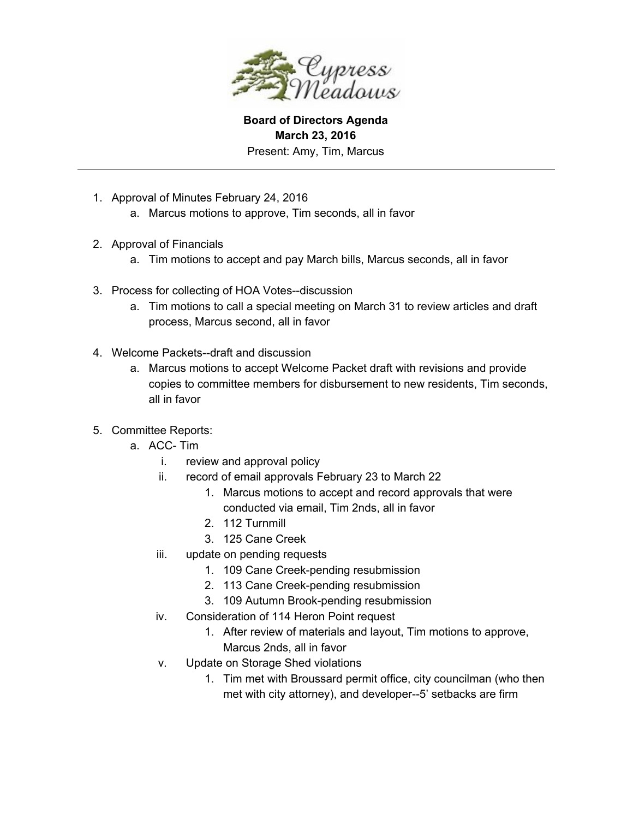

**Board of Directors Agenda March 23, 2016** Present: Amy, Tim, Marcus

- 1. Approval of Minutes February 24, 2016
	- a. Marcus motions to approve, Tim seconds, all in favor
- 2. Approval of Financials
	- a. Tim motions to accept and pay March bills, Marcus seconds, all in favor
- 3. Process for collecting of HOA Votes--discussion
	- a. Tim motions to call a special meeting on March 31 to review articles and draft process, Marcus second, all in favor
- 4. Welcome Packets--draft and discussion
	- a. Marcus motions to accept Welcome Packet draft with revisions and provide copies to committee members for disbursement to new residents, Tim seconds, all in favor
- 5. Committee Reports:
	- a. ACC-Tim
		- i. review and approval policy
		- ii. record of email approvals February 23 to March 22
			- 1. Marcus motions to accept and record approvals that were conducted via email, Tim 2nds, all in favor
			- 2. 112 Turnmill
			- 3. 125 Cane Creek
		- iii. update on pending requests
			- 1. 109 Cane Creek-pending resubmission
			- 2. 113 Cane Creek-pending resubmission
			- 3. 109 Autumn Brook-pending resubmission
		- iv. Consideration of 114 Heron Point request
			- 1. After review of materials and layout, Tim motions to approve, Marcus 2nds, all in favor
		- v. Update on Storage Shed violations
			- 1. Tim met with Broussard permit office, city councilman (who then met with city attorney), and developer--5' setbacks are firm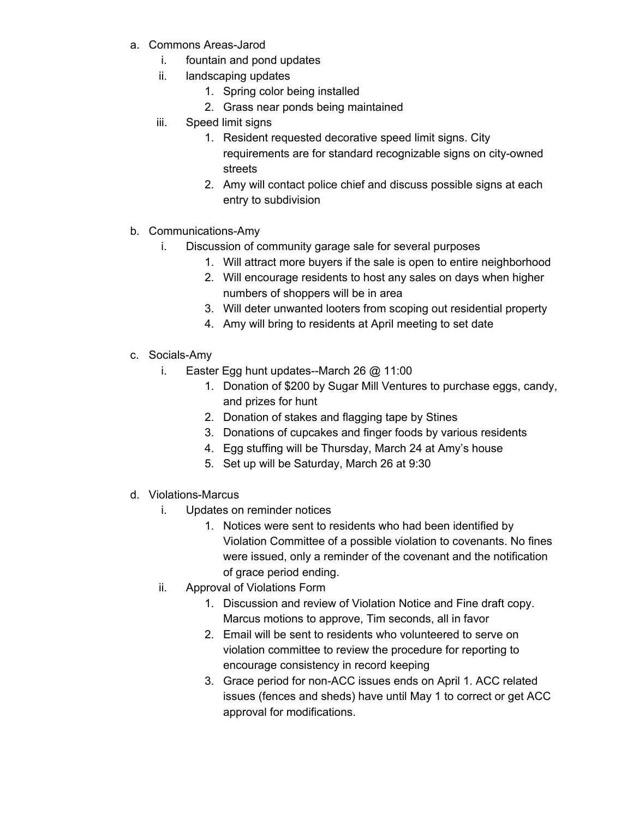- a. Commons Areas-Jarod
	- i. fountain and pond updates
	- ii. landscaping updates
		- 1. Spring color being installed
		- 2. Grass near ponds being maintained
	- iii. Speed limit signs
		- 1. Resident requested decorative speed limit signs. City requirements are for standard recognizable signs on city-owned streets
		- 2. Amy will contact police chief and discuss possible signs at each entry to subdivision
- b. Communications-Amy
	- i. Discussion of community garage sale for several purposes
		- 1. Will attract more buyers if the sale is open to entire neighborhood
		- 2. Will encourage residents to host any sales on days when higher numbers of shoppers will be in area
		- 3. Will deter unwanted looters from scoping out residential property
		- 4. Amy will bring to residents at April meeting to set date
- c. Socials-Amy
	- i. Easter Egg hunt updates--March 26  $@$  11:00
		- 1. Donation of \$200 by Sugar Mill Ventures to purchase eggs, candy, and prizes for hunt
		- 2. Donation of stakes and flagging tape by Stines
		- 3. Donations of cupcakes and finger foods by various residents
		- 4. Egg stuffing will be Thursday, March 24 at Amy's house
		- 5. Set up will be Saturday, March 26 at 9:30
- d. Violations-Marcus
	- i. Updates on reminder notices
		- 1. Notices were sent to residents who had been identified by Violation Committee of a possible violation to covenants. No fines were issued, only a reminder of the covenant and the notification of grace period ending.
	- ii. Approval of Violations Form
		- 1. Discussion and review of Violation Notice and Fine draft copy. Marcus motions to approve, Tim seconds, all in favor
		- 2. Email will be sent to residents who volunteered to serve on violation committee to review the procedure for reporting to encourage consistency in record keeping
		- 3. Grace period for non-ACC issues ends on April 1. ACC related issues (fences and sheds) have until May 1 to correct or get ACC approval for modifications.